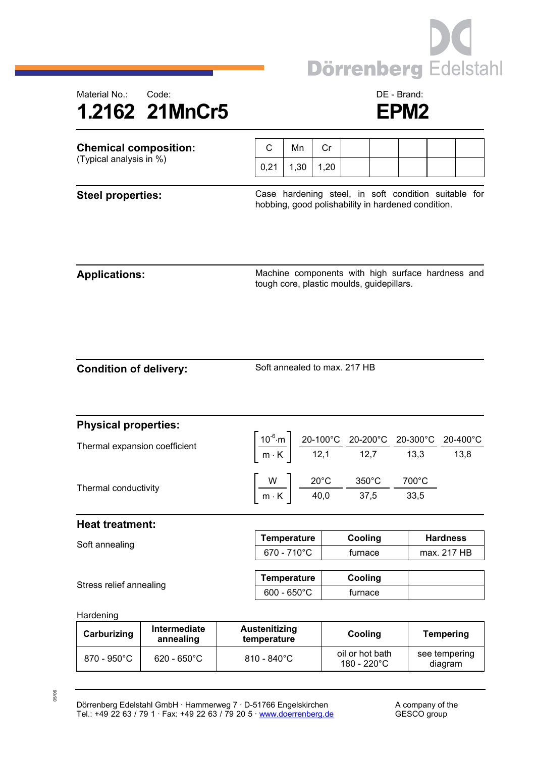



| <b>Chemical composition:</b>  |                                  |                                     | C                                                                                                          | Mn   | Cr   |                                                                                                                                                                                                   |  |                                                   |                                |                  |  |  |
|-------------------------------|----------------------------------|-------------------------------------|------------------------------------------------------------------------------------------------------------|------|------|---------------------------------------------------------------------------------------------------------------------------------------------------------------------------------------------------|--|---------------------------------------------------|--------------------------------|------------------|--|--|
| (Typical analysis in %)       |                                  |                                     | 0,21                                                                                                       | 1,30 | 1,20 |                                                                                                                                                                                                   |  |                                                   |                                |                  |  |  |
| <b>Steel properties:</b>      |                                  |                                     | Case hardening steel, in soft condition suitable for<br>hobbing, good polishability in hardened condition. |      |      |                                                                                                                                                                                                   |  |                                                   |                                |                  |  |  |
| <b>Applications:</b>          |                                  |                                     |                                                                                                            |      |      | tough core, plastic moulds, guidepillars.                                                                                                                                                         |  | Machine components with high surface hardness and |                                |                  |  |  |
| <b>Condition of delivery:</b> |                                  |                                     | Soft annealed to max. 217 HB                                                                               |      |      |                                                                                                                                                                                                   |  |                                                   |                                |                  |  |  |
| <b>Physical properties:</b>   |                                  |                                     |                                                                                                            |      |      |                                                                                                                                                                                                   |  |                                                   |                                |                  |  |  |
| Thermal expansion coefficient |                                  |                                     |                                                                                                            |      |      | $\left[\frac{10^{-6} \text{ m}}{\text{m} \cdot \text{K}}\right] \frac{\text{20-100}^{\circ}\text{C}}{12,1} \frac{\text{20-200}^{\circ}\text{C}}{12,7} \frac{\text{20-300}^{\circ}\text{C}}{13,3}$ |  |                                                   |                                | 20-400°C<br>13,8 |  |  |
| Thermal conductivity          |                                  |                                     | $\left\lceil \frac{W}{m\cdot K} \right\rceil \frac{20^{\circ}C}{40,0} - \frac{350^{\circ}C}{37,5} -$       |      |      |                                                                                                                                                                                                   |  | 700°C<br>33,5                                     |                                |                  |  |  |
| <b>Heat treatment:</b>        |                                  |                                     |                                                                                                            |      |      |                                                                                                                                                                                                   |  |                                                   |                                |                  |  |  |
| Soft annealing                |                                  |                                     | <b>Temperature</b><br>670 - 710°C                                                                          |      |      | Cooling                                                                                                                                                                                           |  |                                                   | <b>Hardness</b><br>max. 217 HB |                  |  |  |
|                               |                                  |                                     |                                                                                                            |      |      | furnace                                                                                                                                                                                           |  |                                                   |                                |                  |  |  |
| Stress relief annealing       |                                  |                                     | <b>Temperature</b>                                                                                         |      |      | Cooling                                                                                                                                                                                           |  |                                                   |                                |                  |  |  |
|                               |                                  |                                     | $600 - 650^{\circ}$ C                                                                                      |      |      | furnace                                                                                                                                                                                           |  |                                                   |                                |                  |  |  |
| Hardening                     |                                  |                                     |                                                                                                            |      |      |                                                                                                                                                                                                   |  |                                                   |                                |                  |  |  |
| Carburizing                   | <b>Intermediate</b><br>annealing | <b>Austenitizing</b><br>temperature |                                                                                                            |      |      | Cooling                                                                                                                                                                                           |  |                                                   | <b>Tempering</b>               |                  |  |  |
| 870 - 950°C                   | 620 - 650°C                      | 810 - 840°C                         |                                                                                                            |      |      | oil or hot bath<br>100, 2000                                                                                                                                                                      |  |                                                   | see tempering                  |                  |  |  |

05/06

diagram

180 - 220°C